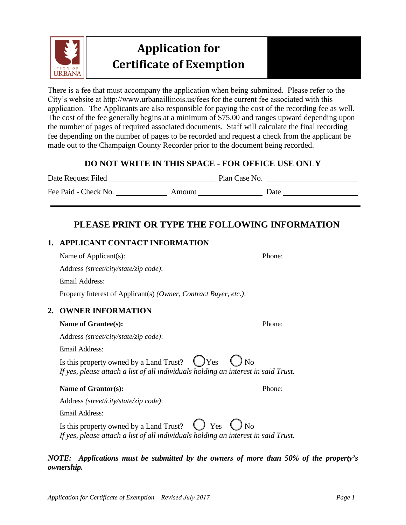

# **Certificate of ExemptionApplication for**

There is a fee that must accompany the application when being submitted. Please refer to the City's website at http://www.urbanaillinois.us/fees for the current fee associated with this application. The Applicants are also responsible for paying the cost of the recording fee as well. The cost of the fee generally begins at a minimum of \$75.00 and ranges upward depending upon the number of pages of required associated documents. Staff will calculate the final recording fee depending on the number of pages to be recorded and request a check from the applicant be made out to the Champaign County Recorder prior to the document being recorded.

# **DO NOT WRITE IN THIS SPACE - FOR OFFICE USE ONLY**

Date Request Filed Plan Case No. Fee Paid - Check No. Amount Date

# **PLEASE PRINT OR TYPE THE FOLLOWING INFORMATION**

# **1. APPLICANT CONTACT INFORMATION**

Name of Applicant(s): Phone: Address *(street/city/state/zip code)*: Email Address: Property Interest of Applicant(s) *(Owner, Contract Buyer, etc.)*: **2. OWNER INFORMATION Name of Grantee(s):** Phone: Address *(street/city/state/zip code)*: Email Address: Is this property owned by a Land Trust?  $\bigcirc$  Yes  $\bigcirc$  No *If yes, please attach a list of all individuals holding an interest in said Trust.* **Name of Grantor(s):** Phone: Address *(street/city/state/zip code)*: Email Address:

Is this property owned by a Land Trust?  $\bigcup$  Yes  $\bigcup$  No *If yes, please attach a list of all individuals holding an interest in said Trust.*

# *NOTE: Applications must be submitted by the owners of more than 50% of the property's ownership.*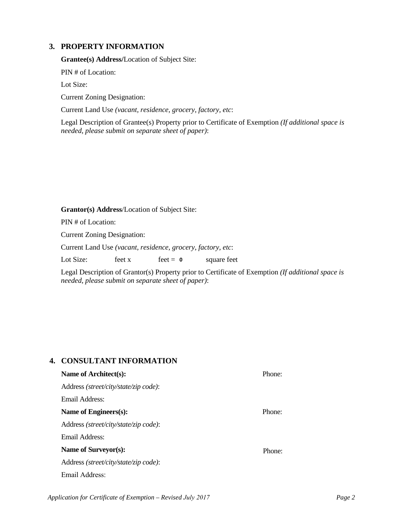#### **3. PROPERTY INFORMATION**

**Grantee(s) Address/**Location of Subject Site:

PIN # of Location:

Lot Size:

Current Zoning Designation:

Current Land Use *(vacant, residence, grocery, factory, etc*:

Legal Description of Grantee(s) Property prior to Certificate of Exemption *(If additional space is needed, please submit on separate sheet of paper)*:

#### **Grantor(s) Address**/Location of Subject Site:

PIN # of Location:

Current Zoning Designation:

Current Land Use *(vacant, residence, grocery, factory, etc*:

Lot Size: feet x  $f$  feet =  $\theta$  square feet  $\text{feet} = \text{0}$ 

Legal Description of Grantor(s) Property prior to Certificate of Exemption *(If additional space is needed, please submit on separate sheet of paper)*:

### **4. CONSULTANT INFORMATION**

| Name of Architect(s):                 | Phone <sup>.</sup> |
|---------------------------------------|--------------------|
| Address (street/city/state/zip code): |                    |
| Email Address:                        |                    |
| Name of Engineers(s):                 | Phone:             |
| Address (street/city/state/zip code): |                    |
| Email Address:                        |                    |
| Name of Surveyor(s):                  | Phone:             |
| Address (street/city/state/zip code): |                    |
| Email Address <sup>.</sup>            |                    |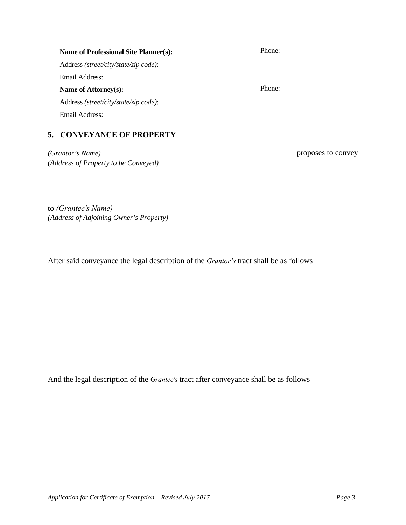Address *(street/city/state/zip code)*: Email Address: **Name of Attorney(s):**  Address *(street/city/state/zip code)*: Email Address:

**Name of Professional Site Planner(s):**

# **5. CONVEYANCE OF PROPERTY**

*(Grantor's Name)* proposes to convey *(Address of Property to be Conveyed)*

to *(Grantee's Name) (Address of Adjoining Owner's Property)*

After said conveyance the legal description of the *Grantor's* tract shall be as follows

And the legal description of the *Grantee's* tract after conveyance shall be as follows

Phone:

Phone: